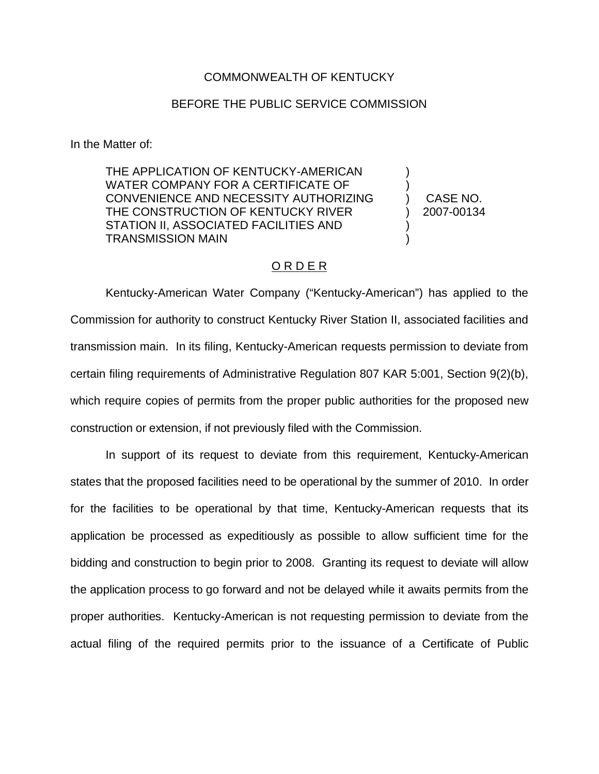## COMMONWEALTH OF KENTUCKY

## BEFORE THE PUBLIC SERVICE COMMISSION

In the Matter of:

THE APPLICATION OF KENTUCKY-AMERICAN WATER COMPANY FOR A CERTIFICATE OF CONVENIENCE AND NECESSITY AUTHORIZING THE CONSTRUCTION OF KENTUCKY RIVER STATION II, ASSOCIATED FACILITIES AND TRANSMISSION MAIN

) CASE NO. ) 2007-00134

) )

) )

## O R D E R

Kentucky-American Water Company ("Kentucky-American") has applied to the Commission for authority to construct Kentucky River Station II, associated facilities and transmission main. In its filing, Kentucky-American requests permission to deviate from certain filing requirements of Administrative Regulation 807 KAR 5:001, Section 9(2)(b), which require copies of permits from the proper public authorities for the proposed new construction or extension, if not previously filed with the Commission.

In support of its request to deviate from this requirement, Kentucky-American states that the proposed facilities need to be operational by the summer of 2010. In order for the facilities to be operational by that time, Kentucky-American requests that its application be processed as expeditiously as possible to allow sufficient time for the bidding and construction to begin prior to 2008. Granting its request to deviate will allow the application process to go forward and not be delayed while it awaits permits from the proper authorities. Kentucky-American is not requesting permission to deviate from the actual filing of the required permits prior to the issuance of a Certificate of Public